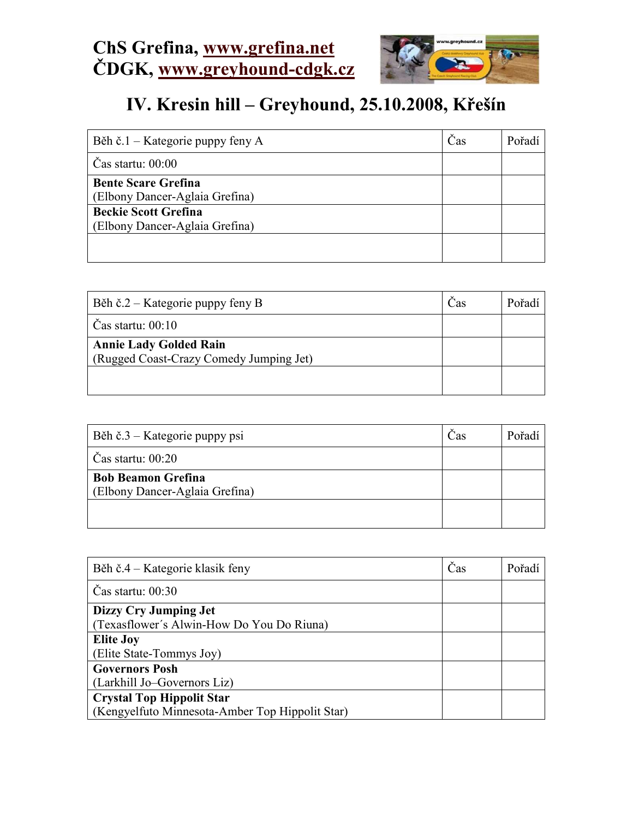

## IV. Kresin hill – Greyhound, 25.10.2008, Křešín

| Běh č.1 – Kategorie puppy feny A | Cas | Pořadí |
|----------------------------------|-----|--------|
| $\text{Cas}$ startu: $00:00$     |     |        |
| <b>Bente Scare Grefina</b>       |     |        |
| (Elbony Dancer-Aglaia Grefina)   |     |        |
| <b>Beckie Scott Grefina</b>      |     |        |
| (Elbony Dancer-Aglaia Grefina)   |     |        |
|                                  |     |        |
|                                  |     |        |

| Běh č.2 – Kategorie puppy feny B                                         | Cas | Pořadí |
|--------------------------------------------------------------------------|-----|--------|
| $\text{Cas}$ startu: $00:10$                                             |     |        |
| <b>Annie Lady Golded Rain</b><br>(Rugged Coast-Crazy Comedy Jumping Jet) |     |        |
|                                                                          |     |        |

| Běh č.3 – Kategorie puppy psi                               | Cas | Pořadí |
|-------------------------------------------------------------|-----|--------|
| Čas startu: $00:20$                                         |     |        |
| <b>Bob Beamon Grefina</b><br>(Elbony Dancer-Aglaia Grefina) |     |        |
|                                                             |     |        |

| Běh č.4 – Kategorie klasik feny                 | Čas | Pořadí |
|-------------------------------------------------|-----|--------|
| $\text{Cas}$ startu: 00:30                      |     |        |
| Dizzy Cry Jumping Jet                           |     |        |
| (Texasflower's Alwin-How Do You Do Riuna)       |     |        |
| <b>Elite Joy</b>                                |     |        |
| (Elite State-Tommys Joy)                        |     |        |
| <b>Governors Posh</b>                           |     |        |
| (Larkhill Jo-Governors Liz)                     |     |        |
| <b>Crystal Top Hippolit Star</b>                |     |        |
| (Kengyelfuto Minnesota-Amber Top Hippolit Star) |     |        |